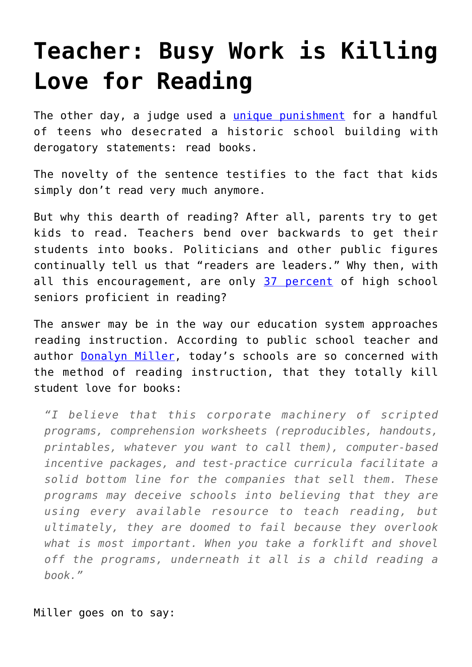## **[Teacher: Busy Work is Killing](https://intellectualtakeout.org/2017/02/teacher-busy-work-is-killing-love-for-reading/) [Love for Reading](https://intellectualtakeout.org/2017/02/teacher-busy-work-is-killing-love-for-reading/)**

The other day, a judge used a *unique punishment* for a handful of teens who desecrated a historic school building with derogatory statements: read books.

The novelty of the sentence testifies to the fact that kids simply don't read very much anymore.

But why this dearth of reading? After all, parents try to get kids to read. Teachers bend over backwards to get their students into books. Politicians and other public figures continually tell us that "readers are leaders." Why then, with all this encouragement, are only [37 percent](https://nationsreportcard.gov/) of high school seniors proficient in reading?

The answer may be in the way our education system approaches reading instruction. According to public school teacher and author **Donalyn Miller**, today's schools are so concerned with the method of reading instruction, that they totally kill student love for books:

*"I believe that this corporate machinery of scripted programs, comprehension worksheets (reproducibles, handouts, printables, whatever you want to call them), computer-based incentive packages, and test-practice curricula facilitate a solid bottom line for the companies that sell them. These programs may deceive schools into believing that they are using every available resource to teach reading, but ultimately, they are doomed to fail because they overlook what is most important. When you take a forklift and shovel off the programs, underneath it all is a child reading a book."*

## Miller goes on to say: